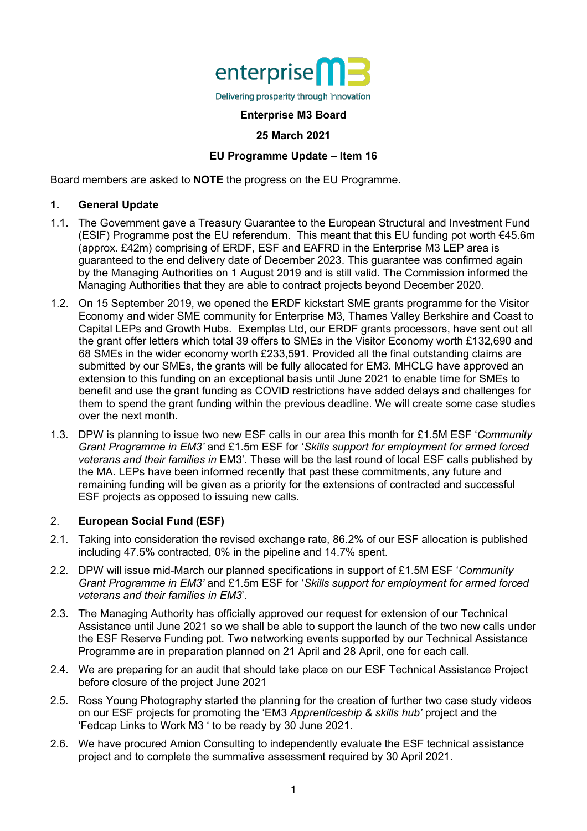

## **Enterprise M3 Board**

#### **25 March 2021**

## **EU Programme Update – Item 16**

Board members are asked to **NOTE** the progress on the EU Programme.

#### **1. General Update**

- 1.1. The Government gave a Treasury Guarantee to the European Structural and Investment Fund (ESIF) Programme post the EU referendum. This meant that this EU funding pot worth €45.6m (approx. £42m) comprising of ERDF, ESF and EAFRD in the Enterprise M3 LEP area is guaranteed to the end delivery date of December 2023. This guarantee was confirmed again by the Managing Authorities on 1 August 2019 and is still valid. The Commission informed the Managing Authorities that they are able to contract projects beyond December 2020.
- 1.2. On 15 September 2019, we opened the ERDF kickstart SME grants programme for the Visitor Economy and wider SME community for Enterprise M3, Thames Valley Berkshire and Coast to Capital LEPs and Growth Hubs. Exemplas Ltd, our ERDF grants processors, have sent out all the grant offer letters which total 39 offers to SMEs in the Visitor Economy worth £132,690 and 68 SMEs in the wider economy worth £233,591. Provided all the final outstanding claims are submitted by our SMEs, the grants will be fully allocated for EM3. MHCLG have approved an extension to this funding on an exceptional basis until June 2021 to enable time for SMEs to benefit and use the grant funding as COVID restrictions have added delays and challenges for them to spend the grant funding within the previous deadline. We will create some case studies over the next month.
- 1.3. DPW is planning to issue two new ESF calls in our area this month for £1.5M ESF '*Community Grant Programme in EM3'* and £1.5m ESF for '*Skills support for employment for armed forced veterans and their families in* EM3'. These will be the last round of local ESF calls published by the MA. LEPs have been informed recently that past these commitments, any future and remaining funding will be given as a priority for the extensions of contracted and successful ESF projects as opposed to issuing new calls.

## 2. **European Social Fund (ESF)**

- 2.1. Taking into consideration the revised exchange rate, 86.2% of our ESF allocation is published including 47.5% contracted, 0% in the pipeline and 14.7% spent.
- 2.2. DPW will issue mid-March our planned specifications in support of £1.5M ESF '*Community Grant Programme in EM3'* and £1.5m ESF for '*Skills support for employment for armed forced veterans and their families in EM3*'.
- 2.3. The Managing Authority has officially approved our request for extension of our Technical Assistance until June 2021 so we shall be able to support the launch of the two new calls under the ESF Reserve Funding pot. Two networking events supported by our Technical Assistance Programme are in preparation planned on 21 April and 28 April, one for each call.
- 2.4. We are preparing for an audit that should take place on our ESF Technical Assistance Project before closure of the project June 2021
- 2.5. Ross Young Photography started the planning for the creation of further two case study videos on our ESF projects for promoting the 'EM3 *Apprenticeship & skills hub'* project and the 'Fedcap Links to Work M3 ' to be ready by 30 June 2021.
- 2.6. We have procured Amion Consulting to independently evaluate the ESF technical assistance project and to complete the summative assessment required by 30 April 2021.